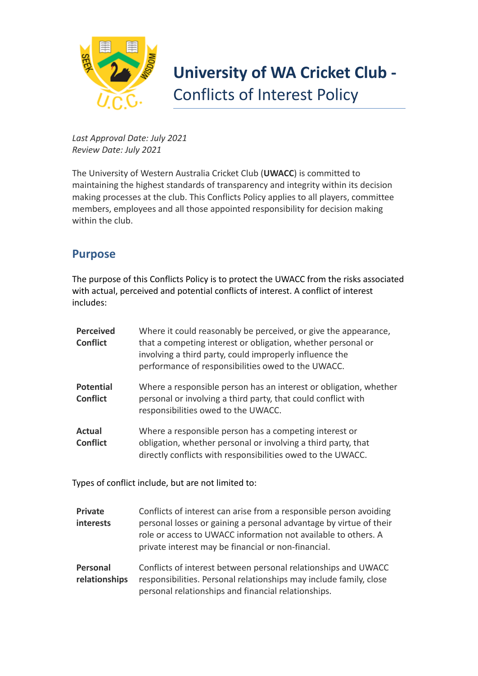

## **University of WA Cricket Club -** Conflicts of Interest Policy

*Last Approval Date: July 2021 Review Date: July 2021*

The University of Western Australia Cricket Club (**UWACC**) is committed to maintaining the highest standards of transparency and integrity within its decision making processes at the club. This Conflicts Policy applies to all players, committee members, employees and all those appointed responsibility for decision making within the club.

## **Purpose**

The purpose of this Conflicts Policy is to protect the UWACC from the risks associated with actual, perceived and potential conflicts of interest. A conflict of interest includes:

| <b>Perceived</b><br><b>Conflict</b> | Where it could reasonably be perceived, or give the appearance,<br>that a competing interest or obligation, whether personal or<br>involving a third party, could improperly influence the<br>performance of responsibilities owed to the UWACC. |
|-------------------------------------|--------------------------------------------------------------------------------------------------------------------------------------------------------------------------------------------------------------------------------------------------|
| <b>Potential</b><br><b>Conflict</b> | Where a responsible person has an interest or obligation, whether<br>personal or involving a third party, that could conflict with<br>responsibilities owed to the UWACC.                                                                        |
| <b>Actual</b><br><b>Conflict</b>    | Where a responsible person has a competing interest or<br>obligation, whether personal or involving a third party, that<br>directly conflicts with responsibilities owed to the UWACC.                                                           |

Types of conflict include, but are not limited to:

| <b>Private</b><br><b>interests</b> | Conflicts of interest can arise from a responsible person avoiding<br>personal losses or gaining a personal advantage by virtue of their<br>role or access to UWACC information not available to others. A<br>private interest may be financial or non-financial. |
|------------------------------------|-------------------------------------------------------------------------------------------------------------------------------------------------------------------------------------------------------------------------------------------------------------------|
| Personal<br>relationships          | Conflicts of interest between personal relationships and UWACC<br>responsibilities. Personal relationships may include family, close<br>personal relationships and financial relationships.                                                                       |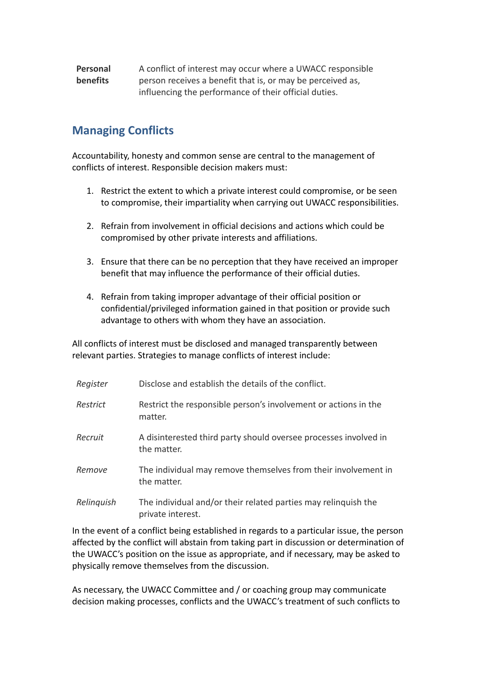## **Personal benefits** A conflict of interest may occur where a UWACC responsible person receives a benefit that is, or may be perceived as, influencing the performance of their official duties.

## **Managing Conflicts**

Accountability, honesty and common sense are central to the management of conflicts of interest. Responsible decision makers must:

- 1. Restrict the extent to which a private interest could compromise, or be seen to compromise, their impartiality when carrying out UWACC responsibilities.
- 2. Refrain from involvement in official decisions and actions which could be compromised by other private interests and affiliations.
- 3. Ensure that there can be no perception that they have received an improper benefit that may influence the performance of their official duties.
- 4. Refrain from taking improper advantage of their official position or confidential/privileged information gained in that position or provide such advantage to others with whom they have an association.

All conflicts of interest must be disclosed and managed transparently between relevant parties. Strategies to manage conflicts of interest include:

| Register   | Disclose and establish the details of the conflict.                                 |
|------------|-------------------------------------------------------------------------------------|
| Restrict   | Restrict the responsible person's involvement or actions in the<br>matter.          |
| Recruit    | A disinterested third party should oversee processes involved in<br>the matter.     |
| Remove     | The individual may remove themselves from their involvement in<br>the matter.       |
| Relinguish | The individual and/or their related parties may relinguish the<br>private interest. |

In the event of a conflict being established in regards to a particular issue, the person affected by the conflict will abstain from taking part in discussion or determination of the UWACC's position on the issue as appropriate, and if necessary, may be asked to physically remove themselves from the discussion.

As necessary, the UWACC Committee and / or coaching group may communicate decision making processes, conflicts and the UWACC's treatment of such conflicts to